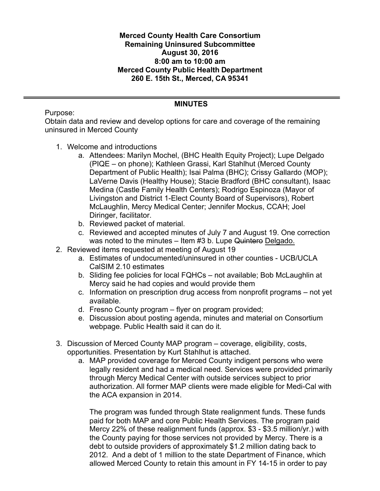**Merced County Health Care Consortium Remaining Uninsured Subcommittee August 30, 2016 8:00 am to 10:00 am Merced County Public Health Department 260 E. 15th St., Merced, CA 95341**

#### **MINUTES**

Purpose:

Obtain data and review and develop options for care and coverage of the remaining uninsured in Merced County

- 1. Welcome and introductions
	- a. Attendees: Marilyn Mochel, (BHC Health Equity Project); Lupe Delgado (PIQE – on phone); Kathleen Grassi, Karl Stahlhut (Merced County Department of Public Health); Isai Palma (BHC); Crissy Gallardo (MOP); LaVerne Davis (Healthy House); Stacie Bradford (BHC consultant), Isaac Medina (Castle Family Health Centers); Rodrigo Espinoza (Mayor of Livingston and District 1-Elect County Board of Supervisors), Robert McLaughlin, Mercy Medical Center; Jennifer Mockus, CCAH; Joel Diringer, facilitator.
	- b. Reviewed packet of material.
	- c. Reviewed and accepted minutes of July 7 and August 19. One correction was noted to the minutes – Item #3 b. Lupe Quintero Delgado.
- 2. Reviewed items requested at meeting of August 19
	- a. Estimates of undocumented/uninsured in other counties UCB/UCLA CalSIM 2.10 estimates
	- b. Sliding fee policies for local FQHCs not available; Bob McLaughlin at Mercy said he had copies and would provide them
	- c. Information on prescription drug access from nonprofit programs not yet available.
	- d. Fresno County program flyer on program provided;
	- e. Discussion about posting agenda, minutes and material on Consortium webpage. Public Health said it can do it.
- 3. Discussion of Merced County MAP program coverage, eligibility, costs, opportunities. Presentation by Kurt Stahlhut is attached.
	- a. MAP provided coverage for Merced County indigent persons who were legally resident and had a medical need. Services were provided primarily through Mercy Medical Center with outside services subject to prior authorization. All former MAP clients were made eligible for Medi-Cal with the ACA expansion in 2014.

The program was funded through State realignment funds. These funds paid for both MAP and core Public Health Services. The program paid Mercy 22% of these realignment funds (approx. \$3 - \$3.5 million/yr.) with the County paying for those services not provided by Mercy. There is a debt to outside providers of approximately \$1.2 million dating back to 2012. And a debt of 1 million to the state Department of Finance, which allowed Merced County to retain this amount in FY 14-15 in order to pay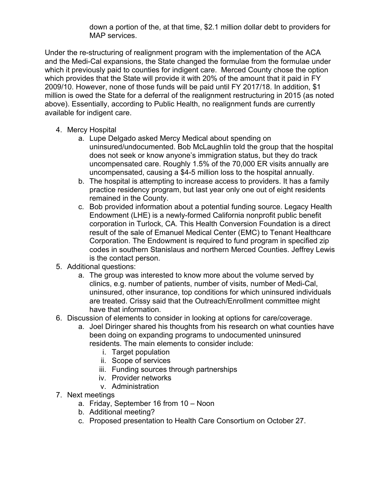down a portion of the, at that time, \$2.1 million dollar debt to providers for MAP services.

Under the re-structuring of realignment program with the implementation of the ACA and the Medi-Cal expansions, the State changed the formulae from the formulae under which it previously paid to counties for indigent care. Merced County chose the option which provides that the State will provide it with 20% of the amount that it paid in FY 2009/10. However, none of those funds will be paid until FY 2017/18. In addition, \$1 million is owed the State for a deferral of the realignment restructuring in 2015 (as noted above). Essentially, according to Public Health, no realignment funds are currently available for indigent care.

- 4. Mercy Hospital
	- a. Lupe Delgado asked Mercy Medical about spending on uninsured/undocumented. Bob McLaughlin told the group that the hospital does not seek or know anyone's immigration status, but they do track uncompensated care. Roughly 1.5% of the 70,000 ER visits annually are uncompensated, causing a \$4-5 million loss to the hospital annually.
	- b. The hospital is attempting to increase access to providers. It has a family practice residency program, but last year only one out of eight residents remained in the County.
	- c. Bob provided information about a potential funding source. Legacy Health Endowment (LHE) is a newly-formed California nonprofit public benefit corporation in Turlock, CA. This Health Conversion Foundation is a direct result of the sale of Emanuel Medical Center (EMC) to Tenant Healthcare Corporation. The Endowment is required to fund program in specified zip codes in southern Stanislaus and northern Merced Counties. Jeffrey Lewis is the contact person.
- 5. Additional questions:
	- a. The group was interested to know more about the volume served by clinics, e.g. number of patients, number of visits, number of Medi-Cal, uninsured, other insurance, top conditions for which uninsured individuals are treated. Crissy said that the Outreach/Enrollment committee might have that information.
- 6. Discussion of elements to consider in looking at options for care/coverage.
	- a. Joel Diringer shared his thoughts from his research on what counties have been doing on expanding programs to undocumented uninsured residents. The main elements to consider include:
		- i. Target population
		- ii. Scope of services
		- iii. Funding sources through partnerships
		- iv. Provider networks
		- v. Administration
- 7. Next meetings
	- a. Friday, September 16 from 10 Noon
	- b. Additional meeting?
	- c. Proposed presentation to Health Care Consortium on October 27.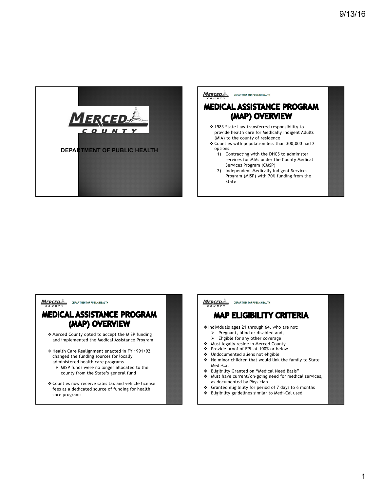

#### **MERCEDE** DEPARTMENT OF PUBLIC HEALTH

## **MEDICAL ASSISTANCE PROGRAM** (MAP) OVERVIEW

- v 1983 State Law transferred responsibility to provide health care for Medically Indigent Adults (MIA) to the county of residence
- v Counties with population less than 300,000 had 2 options:
	- 1) Contracting with the DHCS to administer services for MIAs under the County Medical Services Program (CMSP)
	- 2) Independent Medically Indigent Services Program (MISP) with 70% funding from the State

**MERCED** DEPARTMENT OF PUBLIC HEALTH

### **MEDICAL ASSISTANCE PROGRAM** (MAP) OVERVIEW

- v Merced County opted to accept the MISP funding and implemented the Medical Assistance Program
- v Health Care Realignment enacted in FY 1991/92 changed the funding sources for locally administered health care programs  $\triangleright$  MISP funds were no longer allocated to the county from the State's general fund
- v Counties now receive sales tax and vehicle license fees as a dedicated source of funding for health care programs

 $M$ ERCED DEPARTMENT OF PUBLIC HEALTH

# **MAP ELIGIBILITY CRITERIA**

v Individuals ages 21 through 64, who are not:  $\triangleright$  Pregnant, blind or disabled and,

- $\triangleright$  Eligible for any other coverage
- v Must legally reside in Merced County
- v Provide proof of FPL at 100% or below
- v Undocumented aliens not eligible
- \* No minor children that would link the family to State Medi-Cal
- **◆** Eligibility Granted on "Medical Need Basis"<br>◆ Must have current/on-going need for medic
- Must have current/on-going need for medical services, as documented by Physician
- v Granted eligibility for period of 7 days to 6 months
- v Eligibility guidelines similar to Medi-Cal used